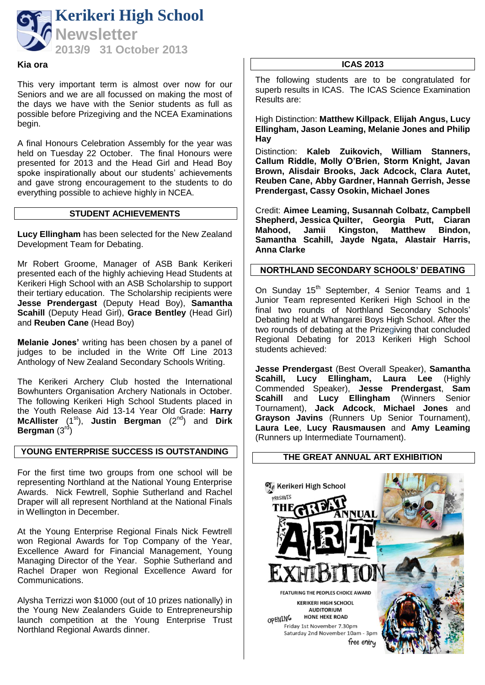

#### **Kia ora**

This very important term is almost over now for our Seniors and we are all focussed on making the most of the days we have with the Senior students as full as possible before Prizegiving and the NCEA Examinations begin.

A final Honours Celebration Assembly for the year was held on Tuesday 22 October. The final Honours were presented for 2013 and the Head Girl and Head Boy spoke inspirationally about our students' achievements and gave strong encouragement to the students to do everything possible to achieve highly in NCEA.

### **STUDENT ACHIEVEMENTS**

**Lucy Ellingham** has been selected for the New Zealand Development Team for Debating.

Mr Robert Groome, Manager of ASB Bank Kerikeri presented each of the highly achieving Head Students at Kerikeri High School with an ASB Scholarship to support their tertiary education. The Scholarship recipients were **Jesse Prendergast** (Deputy Head Boy), **Samantha Scahill** (Deputy Head Girl), **Grace Bentley** (Head Girl) and **Reuben Cane** (Head Boy)

**Melanie Jones'** writing has been chosen by a panel of judges to be included in the Write Off Line 2013 Anthology of New Zealand Secondary Schools Writing.

The Kerikeri Archery Club hosted the International Bowhunters Organisation Archery Nationals in October. The following Kerikeri High School Students placed in the Youth Release Aid 13-14 Year Old Grade: **Harry McAllister** (1<sup>st</sup>), **Justin Bergman** (2<sup>nd</sup>) and **Dirk Bergman** (3rd)

### **YOUNG ENTERPRISE SUCCESS IS OUTSTANDING**

For the first time two groups from one school will be representing Northland at the National Young Enterprise Awards. Nick Fewtrell, Sophie Sutherland and Rachel Draper will all represent Northland at the National Finals in Wellington in December.

At the Young Enterprise Regional Finals Nick Fewtrell won Regional Awards for Top Company of the Year, Excellence Award for Financial Management, Young Managing Director of the Year. Sophie Sutherland and Rachel Draper won Regional Excellence Award for Communications.

Alysha Terrizzi won \$1000 (out of 10 prizes nationally) in the Young New Zealanders Guide to Entrepreneurship launch competition at the Young Enterprise Trust Northland Regional Awards dinner.

#### **ICAS 2013**

The following students are to be congratulated for superb results in ICAS. The ICAS Science Examination Results are:

High Distinction: **Matthew Killpack**, **Elijah Angus, Lucy Ellingham, Jason Leaming, Melanie Jones and Philip Hay**

Distinction: **Kaleb Zuikovich, William Stanners, Callum Riddle, Molly O'Brien, Storm Knight, Javan Brown, Alisdair Brooks, Jack Adcock, Clara Autet, Reuben Cane, Abby Gardner, Hannah Gerrish, Jesse Prendergast, Cassy Osokin, Michael Jones**

Credit: **Aimee Leaming, Susannah Colbatz, Campbell Shepherd, Jessica Quilter, Georgia Putt, Ciaran Mahood, Jamii Kingston, Matthew Bindon, Samantha Scahill, Jayde Ngata, Alastair Harris, Anna Clarke**

### **NORTHLAND SECONDARY SCHOOLS' DEBATING**

On Sunday 15<sup>th</sup> September, 4 Senior Teams and 1 Junior Team represented Kerikeri High School in the final two rounds of Northland Secondary Schools' Debating held at Whangarei Boys High School. After the two rounds of debating at the Prizegiving that concluded Regional Debating for 2013 Kerikeri High School students achieved:

**Jesse Prendergast** (Best Overall Speaker), **Samantha Scahill, Lucy Ellingham, Laura Lee** (Highly Commended Speaker), **Jesse Prendergast**, **Sam Scahill** and **Lucy Ellingham** (Winners Senior Tournament), **Jack Adcock**, **Michael Jones** and **Grayson Javins** (Runners Up Senior Tournament), **Laura Lee**, **Lucy Rausmausen** and **Amy Leaming** (Runners up Intermediate Tournament).